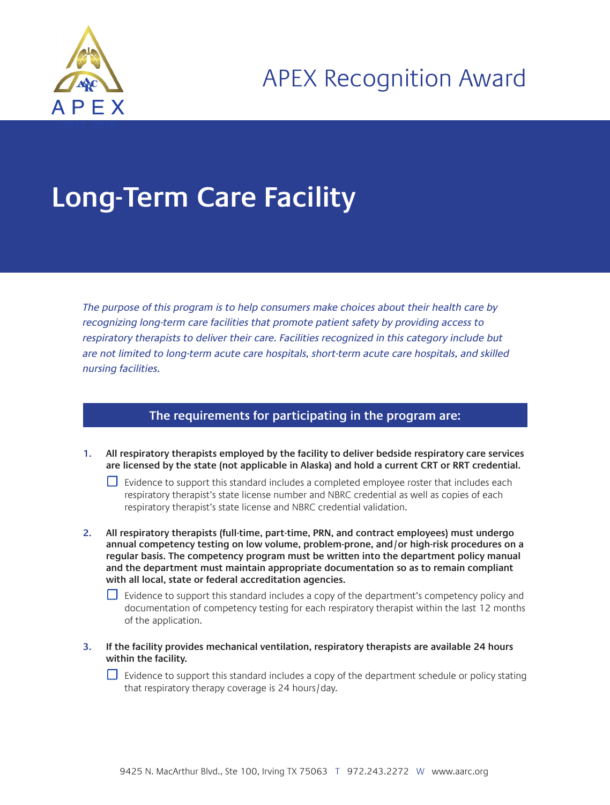

## **Long-Term Care Facility**

The purpose of this program is to help consumers make choices about their health care by recognizing long-term care facilities that promote patient safety by providing access to respiratory therapists to deliver their care. Facilities recognized in this category include but are not limited to long-term acute care hospitals, short-term acute care hospitals, and skilled nursing facilities.

## **The requirements for participating in the program are:**

- **1. All respiratory therapists employed by the facility to deliver bedside respiratory care services are licensed by the state (not applicable in Alaska) and hold a current CRT or RRT credential.**
	- $\Box$  Evidence to support this standard includes a completed employee roster that includes each respiratory therapist's state license number and NBRC credential as well as copies of each respiratory therapist's state license and NBRC credential validation.
- **2. All respiratory therapists (full-time, part-time, PRN, and contract employees) must undergo annual competency testing on low volume, problem-prone, and/or high-risk procedures on a regular basis. The competency program must be written into the department policy manual and the department must maintain appropriate documentation so as to remain compliant with all local, state or federal accreditation agencies.**

 $\Box$  Evidence to support this standard includes a copy of the department's competency policy and documentation of competency testing for each respiratory therapist within the last 12 months of the application.

**3. If the facility provides mechanical ventilation, respiratory therapists are available 24 hours within the facility.**

☐ Evidence to support this standard includes a copy of the department schedule or policy stating that respiratory therapy coverage is 24 hours/day.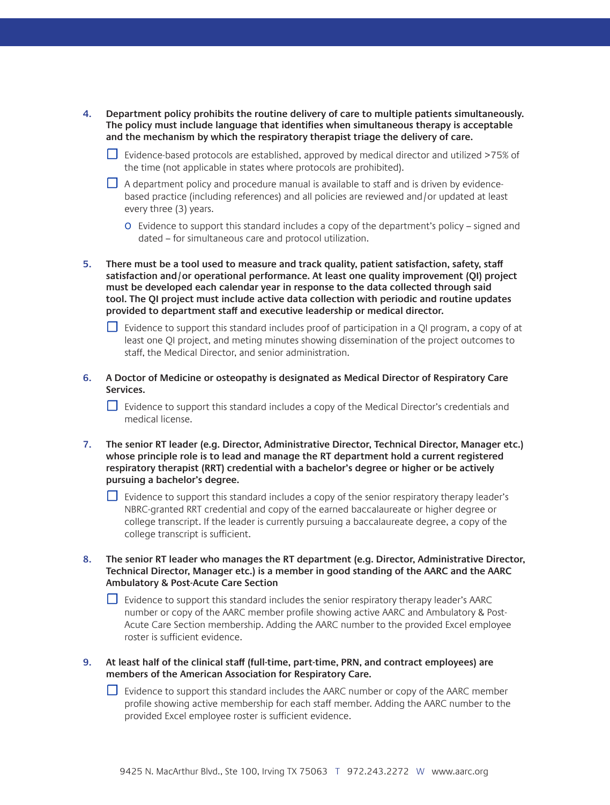- **4. Department policy prohibits the routine delivery of care to multiple patients simultaneously. The policy must include language that identifies when simultaneous therapy is acceptable and the mechanism by which the respiratory therapist triage the delivery of care.**
	- ☐ Evidence-based protocols are established, approved by medical director and utilized >75% of the time (not applicable in states where protocols are prohibited).
	- $\Box$  A department policy and procedure manual is available to staff and is driven by evidencebased practice (including references) and all policies are reviewed and/or updated at least every three (3) years.
		- o Evidence to support this standard includes a copy of the department's policy signed and dated – for simultaneous care and protocol utilization.
- **5. There must be a tool used to measure and track quality, patient satisfaction, safety, staff satisfaction and/or operational performance. At least one quality improvement (QI) project must be developed each calendar year in response to the data collected through said tool. The QI project must include active data collection with periodic and routine updates provided to department staff and executive leadership or medical director.** 
	- $\Box$  Evidence to support this standard includes proof of participation in a QI program, a copy of at least one QI project, and meting minutes showing dissemination of the project outcomes to staff, the Medical Director, and senior administration.
- **6. A Doctor of Medicine or osteopathy is designated as Medical Director of Respiratory Care Services.**

□ Evidence to support this standard includes a copy of the Medical Director's credentials and medical license.

- **7. The senior RT leader (e.g. Director, Administrative Director, Technical Director, Manager etc.) whose principle role is to lead and manage the RT department hold a current registered respiratory therapist (RRT) credential with a bachelor's degree or higher or be actively pursuing a bachelor's degree.**
	- ☐ Evidence to support this standard includes a copy of the senior respiratory therapy leader's NBRC-granted RRT credential and copy of the earned baccalaureate or higher degree or college transcript. If the leader is currently pursuing a baccalaureate degree, a copy of the college transcript is sufficient.
- **8. The senior RT leader who manages the RT department (e.g. Director, Administrative Director, Technical Director, Manager etc.) is a member in good standing of the AARC and the AARC Ambulatory & Post-Acute Care Section**
	- $\Box$  Evidence to support this standard includes the senior respiratory therapy leader's AARC number or copy of the AARC member profile showing active AARC and Ambulatory & Post-Acute Care Section membership. Adding the AARC number to the provided Excel employee roster is sufficient evidence.
- **9. At least half of the clinical staff (full-time, part-time, PRN, and contract employees) are members of the American Association for Respiratory Care.**
	- ☐ Evidence to support this standard includes the AARC number or copy of the AARC member profile showing active membership for each staff member. Adding the AARC number to the provided Excel employee roster is sufficient evidence.